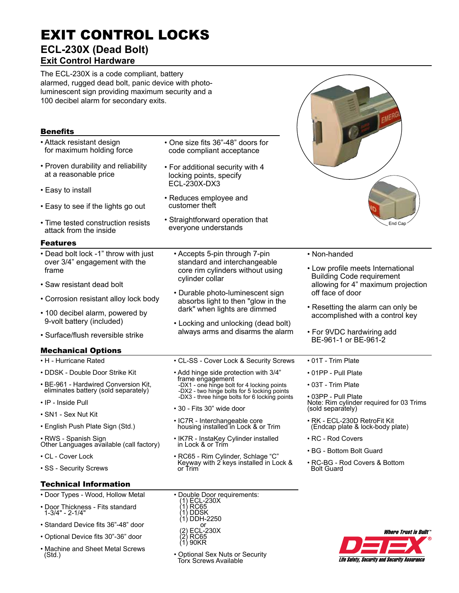# EXIT CONTROL LOCKS **ECL-230X (Dead Bolt)**

## **Exit Control Hardware**

The ECL-230X is a code compliant, battery alarmed, rugged dead bolt, panic device with photoluminescent sign providing maximum security and a 100 decibel alarm for secondary exits.

| <b>Benefits</b>                                                                |                                                                                                                                                                                                                                                                                                                                                                                                                                                                                                                                                      | Coler J Elliette                                                 |
|--------------------------------------------------------------------------------|------------------------------------------------------------------------------------------------------------------------------------------------------------------------------------------------------------------------------------------------------------------------------------------------------------------------------------------------------------------------------------------------------------------------------------------------------------------------------------------------------------------------------------------------------|------------------------------------------------------------------|
| • Attack resistant design<br>for maximum holding force                         | • One size fits 36"-48" doors for<br>code compliant acceptance                                                                                                                                                                                                                                                                                                                                                                                                                                                                                       |                                                                  |
| • Proven durability and reliability<br>at a reasonable price                   | • For additional security with 4<br>locking points, specify                                                                                                                                                                                                                                                                                                                                                                                                                                                                                          |                                                                  |
| • Easy to install                                                              | ECL-230X-DX3                                                                                                                                                                                                                                                                                                                                                                                                                                                                                                                                         |                                                                  |
| • Easy to see if the lights go out                                             | • Reduces employee and<br>customer theft                                                                                                                                                                                                                                                                                                                                                                                                                                                                                                             | End Cap                                                          |
| • Time tested construction resists<br>attack from the inside                   | • Straightforward operation that<br>everyone understands                                                                                                                                                                                                                                                                                                                                                                                                                                                                                             |                                                                  |
| <b>Features</b>                                                                |                                                                                                                                                                                                                                                                                                                                                                                                                                                                                                                                                      |                                                                  |
| • Dead bolt lock -1" throw with just<br>over 3/4" engagement with the<br>frame | • Non-handed<br>• Accepts 5-pin through 7-pin<br>standard and interchangeable<br>• Low profile meets International<br>core rim cylinders without using<br><b>Building Code requirement</b><br>cylinder collar<br>off face of door<br>• Durable photo-luminescent sign<br>absorbs light to then "glow in the<br>• Resetting the alarm can only be<br>dark" when lights are dimmed<br>accomplished with a control key<br>• Locking and unlocking (dead bolt)<br>always arms and disarms the alarm<br>• For 9VDC hardwiring add<br>BE-961-1 or BE-961-2 |                                                                  |
| • Saw resistant dead bolt                                                      |                                                                                                                                                                                                                                                                                                                                                                                                                                                                                                                                                      | allowing for 4" maximum projection                               |
| • Corrosion resistant alloy lock body                                          |                                                                                                                                                                                                                                                                                                                                                                                                                                                                                                                                                      |                                                                  |
| • 100 decibel alarm, powered by<br>9-volt battery (included)                   |                                                                                                                                                                                                                                                                                                                                                                                                                                                                                                                                                      |                                                                  |
| • Surface/flush reversible strike                                              |                                                                                                                                                                                                                                                                                                                                                                                                                                                                                                                                                      |                                                                  |
| <b>Mechanical Options</b>                                                      |                                                                                                                                                                                                                                                                                                                                                                                                                                                                                                                                                      |                                                                  |
| • H - Hurricane Rated                                                          | • CL-SS - Cover Lock & Security Screws                                                                                                                                                                                                                                                                                                                                                                                                                                                                                                               | • 01T - Trim Plate                                               |
| • DDSK - Double Door Strike Kit                                                | • Add hinge side protection with 3/4"                                                                                                                                                                                                                                                                                                                                                                                                                                                                                                                | • 01PP - Pull Plate                                              |
| • BE-961 - Hardwired Conversion Kit,<br>eliminates battery (sold separately)   | frame engagement<br>-DX1 - one hinge bolt for 4 locking points<br>-DX2 - two hinge bolts for 5 locking points                                                                                                                                                                                                                                                                                                                                                                                                                                        | • 03T - Trim Plate                                               |
| • IP - Inside Pull                                                             | -DX3 - three hinge bolts for 6 locking points                                                                                                                                                                                                                                                                                                                                                                                                                                                                                                        | • 03PP - Pull Plate<br>Note: Rim cylinder required for 03 Trims  |
| • SN1 - Sex Nut Kit                                                            | • 30 - Fits 30" wide door                                                                                                                                                                                                                                                                                                                                                                                                                                                                                                                            | (sold separately)                                                |
| • English Push Plate Sign (Std.)                                               | · IC7R - Interchangeable core<br>housing installed in Lock & or Trim                                                                                                                                                                                                                                                                                                                                                                                                                                                                                 | • RK - ECL-230D RetroFit Kit<br>(Endcap plate & lock-body plate) |
| · RWS - Spanish Sign<br>Other Languages available (call factory)               | • IK7R - InstaKey Cylinder installed<br>in Lock & or Trim                                                                                                                                                                                                                                                                                                                                                                                                                                                                                            | • RC - Rod Covers                                                |
| • CL - Cover Lock                                                              | • RC65 - Rim Cylinder, Schlage "C"<br>Keyway with 2 keys installed in Lock &<br>or Trim                                                                                                                                                                                                                                                                                                                                                                                                                                                              | • BG - Bottom Bolt Guard                                         |
| • SS - Security Screws                                                         |                                                                                                                                                                                                                                                                                                                                                                                                                                                                                                                                                      | • RC-BG - Rod Covers & Bottom<br><b>Bolt Guard</b>               |
| <b>Technical Information</b>                                                   |                                                                                                                                                                                                                                                                                                                                                                                                                                                                                                                                                      |                                                                  |
| • Door Types - Wood, Hollow Metal                                              | • Double Door requirements:                                                                                                                                                                                                                                                                                                                                                                                                                                                                                                                          |                                                                  |
| • Door Thickness - Fits standard<br>$1 - 3/4" - 2 - 1/4"$                      | (1) ECL-230X<br>$\langle$ 1) RČ $\bar{6}5$<br>1) DDSK<br>1) DDH-2250                                                                                                                                                                                                                                                                                                                                                                                                                                                                                 |                                                                  |

- Standard Device fits 36"-48" door
- Optional Device fits 30"-36" door
- Machine and Sheet Metal Screws (Std.)
- Optional Sex Nuts or Security Torx Screws Available

 $\frac{1}{2}$  or (2) ECL-230X (2) RC65 (1) 90KR